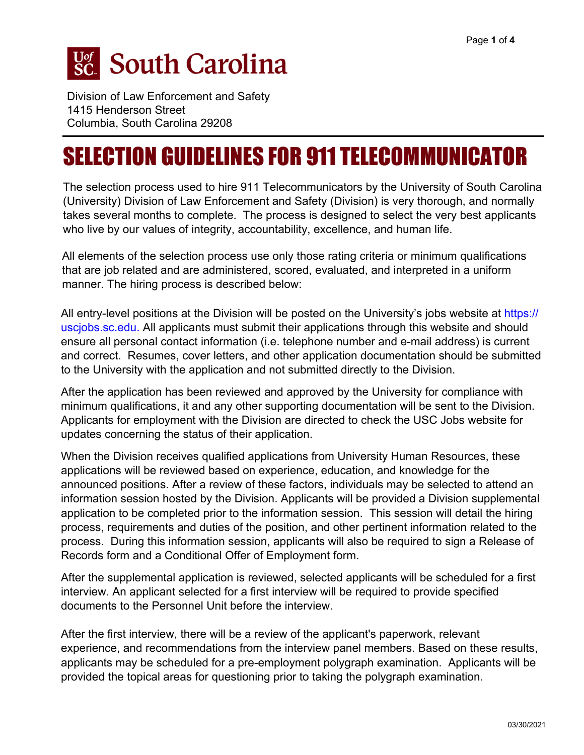# **Sc.** South Carolina

Division of Law Enforcement and Safety 1415 Henderson Street Columbia, South Carolina 29208

# SELECTION GUIDELINES FOR 911 TELECOMMUNICATOR

The selection process used to hire 911 Telecommunicators by the University of South Carolina (University) Division of Law Enforcement and Safety (Division) is very thorough, and normally takes several months to complete. The process is designed to select the very best applicants who live by our values of integrity, accountability, excellence, and human life.

All elements of the selection process use only those rating criteria or minimum qualifications that are job related and are administered, scored, evaluated, and interpreted in a uniform manner. The hiring process is described below:

All entry-level positions at the Division will be posted on the University's jobs website at https:// uscjobs.sc.edu. All applicants must submit their applications through this website and should [ensure all personal cont](https://uscjobs.sc.edu/)act information (i.e. telephone number and e-mail address) is current and correct. Resumes, cover letters, and other application documentation should be submitted to the University with the application and not submitted directly to the Division.

After the application has been reviewed and approved by the University for compliance with minimum qualifications, it and any other supporting documentation will be sent to the Division. Applicants for employment with the Division are directed to check the USC Jobs website for updates concerning the status of their application.

When the Division receives qualified applications from University Human Resources, these applications will be reviewed based on experience, education, and knowledge for the announced positions. After a review of these factors, individuals may be selected to attend an information session hosted by the Division. Applicants will be provided a Division supplemental application to be completed prior to the information session. This session will detail the hiring process, requirements and duties of the position, and other pertinent information related to the process. During this information session, applicants will also be required to sign a Release of Records form and a Conditional Offer of Employment form.

After the supplemental application is reviewed, selected applicants will be scheduled for a first interview. An applicant selected for a first interview will be required to provide specified documents to the Personnel Unit before the interview.

After the first interview, there will be a review of the applicant's paperwork, relevant experience, and recommendations from the interview panel members. Based on these results, applicants may be scheduled for a pre-employment polygraph examination. Applicants will be provided the topical areas for questioning prior to taking the polygraph examination.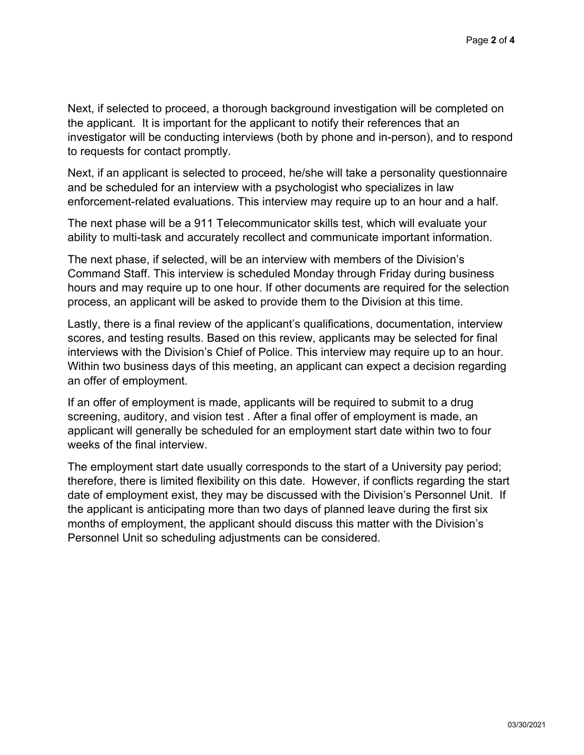Next, if selected to proceed, a thorough background investigation will be completed on the applicant. It is important for the applicant to notify their references that an investigator will be conducting interviews (both by phone and in-person), and to respond to requests for contact promptly.

Next, if an applicant is selected to proceed, he/she will take a personality questionnaire and be scheduled for an interview with a psychologist who specializes in law enforcement-related evaluations. This interview may require up to an hour and a half.

The next phase will be a 911 Telecommunicator skills test, which will evaluate your ability to multi-task and accurately recollect and communicate important information.

The next phase, if selected, will be an interview with members of the Division's Command Staff. This interview is scheduled Monday through Friday during business hours and may require up to one hour. If other documents are required for the selection process, an applicant will be asked to provide them to the Division at this time.

Lastly, there is a final review of the applicant's qualifications, documentation, interview scores, and testing results. Based on this review, applicants may be selected for final interviews with the Division's Chief of Police. This interview may require up to an hour. Within two business days of this meeting, an applicant can expect a decision regarding an offer of employment.

If an offer of employment is made, applicants will be required to submit to a drug screening, auditory, and vision test . After a final offer of employment is made, an applicant will generally be scheduled for an employment start date within two to four weeks of the final interview.

The employment start date usually corresponds to the start of a University pay period; therefore, there is limited flexibility on this date. However, if conflicts regarding the start date of employment exist, they may be discussed with the Division's Personnel Unit. If the applicant is anticipating more than two days of planned leave during the first six months of employment, the applicant should discuss this matter with the Division's Personnel Unit so scheduling adjustments can be considered.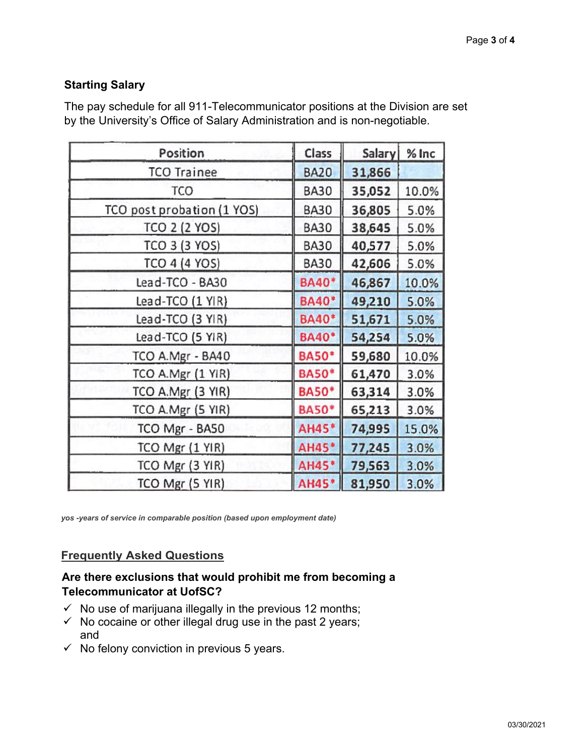## **Starting Salary**

The pay schedule for all 911-Telecommunicator positions at the Division are set by the University's Office of Salary Administration and is non-negotiable.

| Position                   | Class        | Salary | $%$ Inc |
|----------------------------|--------------|--------|---------|
| <b>TCO Trainee</b>         | <b>BA20</b>  | 31,866 |         |
| <b>TCO</b>                 | <b>BA30</b>  | 35,052 | 10.0%   |
| TCO post probation (1 YOS) | <b>BA30</b>  | 36,805 | 5.0%    |
| <b>TCO 2 (2 YOS)</b>       | <b>BA30</b>  | 38,645 | 5.0%    |
| TCO 3 (3 YOS)              | <b>BA30</b>  | 40,577 | 5.0%    |
| TCO 4 (4 YOS)              | <b>BA30</b>  | 42,606 | 5.0%    |
| Lead-TCO - BA30            | <b>BA40*</b> | 46,867 | 10.0%   |
| Lead-TCO (1 YIR)           | <b>BA40*</b> | 49,210 | 5.0%    |
| Lead-TCO (3 YIR)           | <b>BA40*</b> | 51,671 | 5.0%    |
| Lead-TCO (5 YIR)           | <b>BA40*</b> | 54,254 | 5.0%    |
| TCO A.Mgr - BA40           | <b>BA50*</b> | 59,680 | 10.0%   |
| TCO A.Mgr (1 YIR)          | <b>BA50*</b> | 61,470 | 3.0%    |
| TCO A.Mgr (3 YIR)          | <b>BA50*</b> | 63,314 | 3.0%    |
| TCO A.Mgr (5 YIR)          | <b>BA50*</b> | 65,213 | 3.0%    |
| TCO Mgr - BA50             | AH45*        | 74,995 | 15.0%   |
| TCO Mgr (1 YIR)            | AH45*        | 77,245 | 3.0%    |
| TCO Mgr (3 YIR)            | AH45*        | 79,563 | 3.0%    |
| TCO Mgr (5 YIR)            | AH45*        | 81,950 | 3.0%    |

*yos -years of service in comparable position (based upon employment date)*

### **Frequently Asked Questions**

### **Are there exclusions that would prohibit me from becoming a Telecommunicator at UofSC?**

- $\checkmark$  No use of marijuana illegally in the previous 12 months;
- $\checkmark$  [No coca](https://www.sc.edu/about/offices_and_divisions/human_resources/benefits/index.php)ine or other illegal drug use in the past 2 years; and
- $\checkmark$  No felony conviction in previous 5 years.